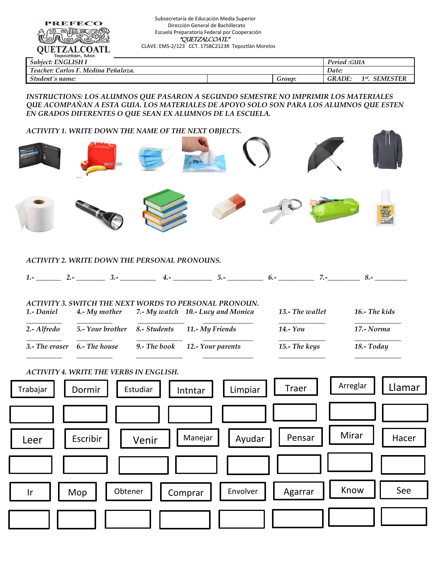| <b>PREFECO</b><br><b>OUETZALCOATL</b><br>Tepoztlán, Mor.                                                                                                                                                                                   | Subsecretaría de Educación Media Superior<br>Dirección General de Bachillerato<br>"QUETZALCOATL"<br>CLAVE: EMS-2/123 CCT. 17SBC2123R Tepoztlàn Morelos | Escuela Preparatoria Federal por Cooperación |        |               |                            |
|--------------------------------------------------------------------------------------------------------------------------------------------------------------------------------------------------------------------------------------------|--------------------------------------------------------------------------------------------------------------------------------------------------------|----------------------------------------------|--------|---------------|----------------------------|
| Subject: ENGLISH I                                                                                                                                                                                                                         |                                                                                                                                                        |                                              |        | Period : GUIA |                            |
| Teacher: Carlos F. Medina Peñaloza.                                                                                                                                                                                                        |                                                                                                                                                        |                                              |        | Date:         |                            |
| Student's name:                                                                                                                                                                                                                            |                                                                                                                                                        |                                              | Group: | <b>GRADE:</b> | 1 <sup>st</sup> . SEMESTER |
| INSTRUCTIONS: LOS ALUMNOS QUE PASARON A SEGUNDO SEMESTRE NO IMPRIMIR LOS MATERIALES<br>QUE ACOMPAÑAN A ESTA GUIA. LOS MATERIALES DE APOYO SOLO SON PARA LOS ALUMNOS QUE ESTEN<br>EN GRADOS DIFERENTES O QUE SEAN EX ALUMNOS DE LA ESCUELA. |                                                                                                                                                        |                                              |        |               |                            |

## *ACTIVITY 1. WRITE DOWN THE NAME OF THE NEXT OBJECTS.*

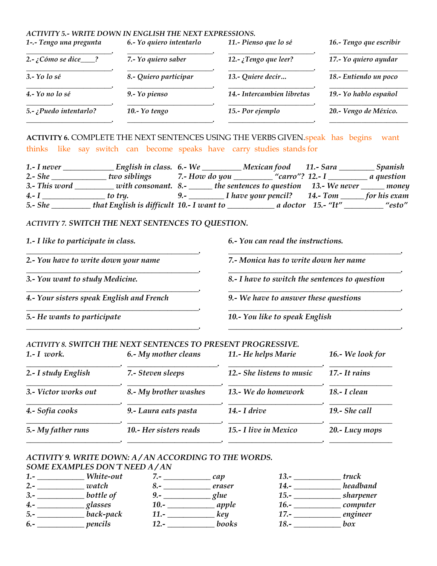#### *ACTIVITY 5.- WRITE DOWN IN ENGLISH THE NEXT EXPRESSIONS. 1-.- Tengo una pregunta 6.- Yo quiero intentarlo 11.- Pienso que lo sé 16.- Tengo que escribir \_\_\_\_\_\_\_\_\_\_\_\_\_\_\_\_\_\_\_\_\_\_\_\_. \_\_\_\_\_\_\_\_\_\_\_\_\_\_\_\_\_\_\_\_\_\_\_\_. \_\_\_\_\_\_\_\_\_\_\_\_\_\_\_\_\_\_\_\_\_\_\_\_. \_\_\_\_\_\_\_\_\_\_\_\_\_\_\_\_\_\_\_\_\_\_ 2.- ¿Cómo se dice\_\_\_\_? 7.- Yo quiero saber 12.- ¿Tengo que leer? 17.- Yo quiero ayudar \_\_\_\_\_\_\_\_\_\_\_\_\_\_\_\_\_\_\_\_\_\_\_\_. \_\_\_\_\_\_\_\_\_\_\_\_\_\_\_\_\_\_\_\_\_\_\_\_. \_\_\_\_\_\_\_\_\_\_\_\_\_\_\_\_\_\_\_\_\_\_\_\_. \_\_\_\_\_\_\_\_\_\_\_\_\_\_\_\_\_\_\_\_\_\_ 3.- Yo lo sé 8.- Quiero participar 13.- Quiere decir… 18.- Entiendo un poco \_\_\_\_\_\_\_\_\_\_\_\_\_\_\_\_\_\_\_\_\_\_\_\_. \_\_\_\_\_\_\_\_\_\_\_\_\_\_\_\_\_\_\_\_\_\_\_\_. \_\_\_\_\_\_\_\_\_\_\_\_\_\_\_\_\_\_\_\_\_\_\_\_. \_\_\_\_\_\_\_\_\_\_\_\_\_\_\_\_\_\_\_\_\_\_ 4.- Yo no lo sé 9.- Yo pienso 14.- Intercambien libretas 19.- Yo hablo español \_\_\_\_\_\_\_\_\_\_\_\_\_\_\_\_\_\_\_\_\_\_\_\_. \_\_\_\_\_\_\_\_\_\_\_\_\_\_\_\_\_\_\_\_\_\_\_\_. \_\_\_\_\_\_\_\_\_\_\_\_\_\_\_\_\_\_\_\_\_\_\_\_. \_\_\_\_\_\_\_\_\_\_\_\_\_\_\_\_\_\_\_\_\_\_ 5.- ¿Puedo intentarlo? 10.- Yo tengo 15.- Por ejemplo 20.- Vengo de México. \_\_\_\_\_\_\_\_\_\_\_\_\_\_\_\_\_\_\_\_\_\_\_\_. \_\_\_\_\_\_\_\_\_\_\_\_\_\_\_\_\_\_\_\_\_\_\_\_. \_\_\_\_\_\_\_\_\_\_\_\_\_\_\_\_\_\_\_\_\_\_\_\_. \_\_\_\_\_\_\_\_\_\_\_\_\_\_\_\_\_\_\_\_\_\_*

**ACTIVITY 6.** COMPLETE THE NEXT SENTENCES USING THE VERBS GIVEN.speak has begins want thinks like say switch can become speaks have carry studies stands for

*1.- I never \_\_\_\_\_\_\_\_\_\_\_\_\_ English in class. 6.- We \_\_\_\_\_\_\_\_\_\_ Mexican food 11.- Sara \_\_\_\_\_\_\_\_\_ Spanish 2.- She \_\_\_\_\_\_\_\_\_\_\_\_\_\_ two siblings 7.- How do you \_\_\_\_\_\_\_\_\_\_ "carro"? 12.- I \_\_\_\_\_\_\_\_\_\_ a question 3.- This word \_\_\_\_\_\_\_\_\_\_ with consonant. 8.- \_\_\_\_\_\_ the sentences to question 13.- We never \_\_\_\_\_\_ money 4.- I \_\_\_\_\_\_\_\_\_\_\_\_\_\_\_\_ to try. 9.- \_\_\_\_\_\_\_\_\_ I have your pencil? 14.- Tom \_\_\_\_\_\_ for his exam 5.- She \_\_\_\_\_\_\_\_\_\_ that English is difficult 10.- I want to \_\_\_\_\_\_\_\_\_\_\_\_ a doctor 15.- "It" \_\_\_\_\_\_\_\_\_\_ "esto"*

### *ACTIVITY 7. SWITCH THE NEXT SENTENCES TO QUESTION.*

*4.- Your sisters speak English and French 9.- We have to answer these questions*

*1.- I like to participate in class. 6.- You can read the instructions.*

*\_\_\_\_\_\_\_\_\_\_\_\_\_\_\_\_\_\_\_\_\_\_\_\_\_\_\_\_\_\_\_\_\_\_\_\_\_\_\_\_\_\_\_\_. \_\_\_\_\_\_\_\_\_\_\_\_\_\_\_\_\_\_\_\_\_\_\_\_\_\_\_\_\_\_\_\_\_\_\_\_\_\_\_\_\_\_\_\_. 2.- You have to write down your name 7.- Monica has to write down her name \_\_\_\_\_\_\_\_\_\_\_\_\_\_\_\_\_\_\_\_\_\_\_\_\_\_\_\_\_\_\_\_\_\_\_\_\_\_\_\_\_\_\_\_. \_\_\_\_\_\_\_\_\_\_\_\_\_\_\_\_\_\_\_\_\_\_\_\_\_\_\_\_\_\_\_\_\_\_\_\_\_\_\_\_\_\_\_\_. 3.- You want to study Medicine. 8.- I have to switch the sentences to question \_\_\_\_\_\_\_\_\_\_\_\_\_\_\_\_\_\_\_\_\_\_\_\_\_\_\_\_\_\_\_\_\_\_\_\_\_\_\_\_\_\_\_\_. \_\_\_\_\_\_\_\_\_\_\_\_\_\_\_\_\_\_\_\_\_\_\_\_\_\_\_\_\_\_\_\_\_\_\_\_\_\_\_\_\_\_\_\_.*

*5.- He wants to participate 10.- You like to speak English*

## *ACTIVITY 8. SWITCH THE NEXT SENTENCES TO PRESENT PROGRESSIVE.*

| $1 - I$ work.        | 6.- My mother cleans   | 11.- He helps Marie       | 16.- We look for |  |  |
|----------------------|------------------------|---------------------------|------------------|--|--|
| 2.- I study English  | 7.- Steven sleeps      | 12.- She listens to music | 17.- It rains    |  |  |
| 3.- Victor works out | 8.- My brother washes  | 13.- We do homework       | $18.-I$ clean    |  |  |
| 4.- Sofia cooks      | 9.- Laura eats pasta   | $14.- I$ drive            | 19.- She call    |  |  |
| 5.- My father runs   | 10.- Her sisters reads | 15.- I live in Mexico     | 20.-Lucy mops    |  |  |
|                      |                        |                           |                  |  |  |

*\_\_\_\_\_\_\_\_\_\_\_\_\_\_\_\_\_\_\_\_\_\_\_\_\_\_\_\_\_\_\_\_\_\_\_\_\_\_\_\_\_\_\_\_. \_\_\_\_\_\_\_\_\_\_\_\_\_\_\_\_\_\_\_\_\_\_\_\_\_\_\_\_\_\_\_\_\_\_\_\_\_\_\_\_\_\_\_\_.*

*\_\_\_\_\_\_\_\_\_\_\_\_\_\_\_\_\_\_\_\_\_\_\_\_\_\_\_\_\_\_\_\_\_\_\_\_\_\_\_\_\_\_\_\_. \_\_\_\_\_\_\_\_\_\_\_\_\_\_\_\_\_\_\_\_\_\_\_\_\_\_\_\_\_\_\_\_\_\_\_\_\_\_\_\_\_\_\_\_.*

# *ACTIVITY 9. WRITE DOWN: A / AN ACCORDING TO THE WORDS.*

### *SOME EXAMPLES DON´T NEED A / AN*

| $1. -$ | White-out |                   | cap    | 13.-    | truck     |
|--------|-----------|-------------------|--------|---------|-----------|
| $2. -$ | watch     | $\mathcal{O}$ . – | eraser | 14.-    | headband  |
| $3. -$ | bottle of | <u>y.-</u>        | glue   | $15.-$  | sharpener |
| 4.-    | glasses   | $10.-$            | apple  | $16. -$ | computer  |
| $5. -$ | back-pack | 11.-              | keu    |         | engineer  |
| $6. -$ | pencils   | 12.-              | books  | 18.-    | box       |